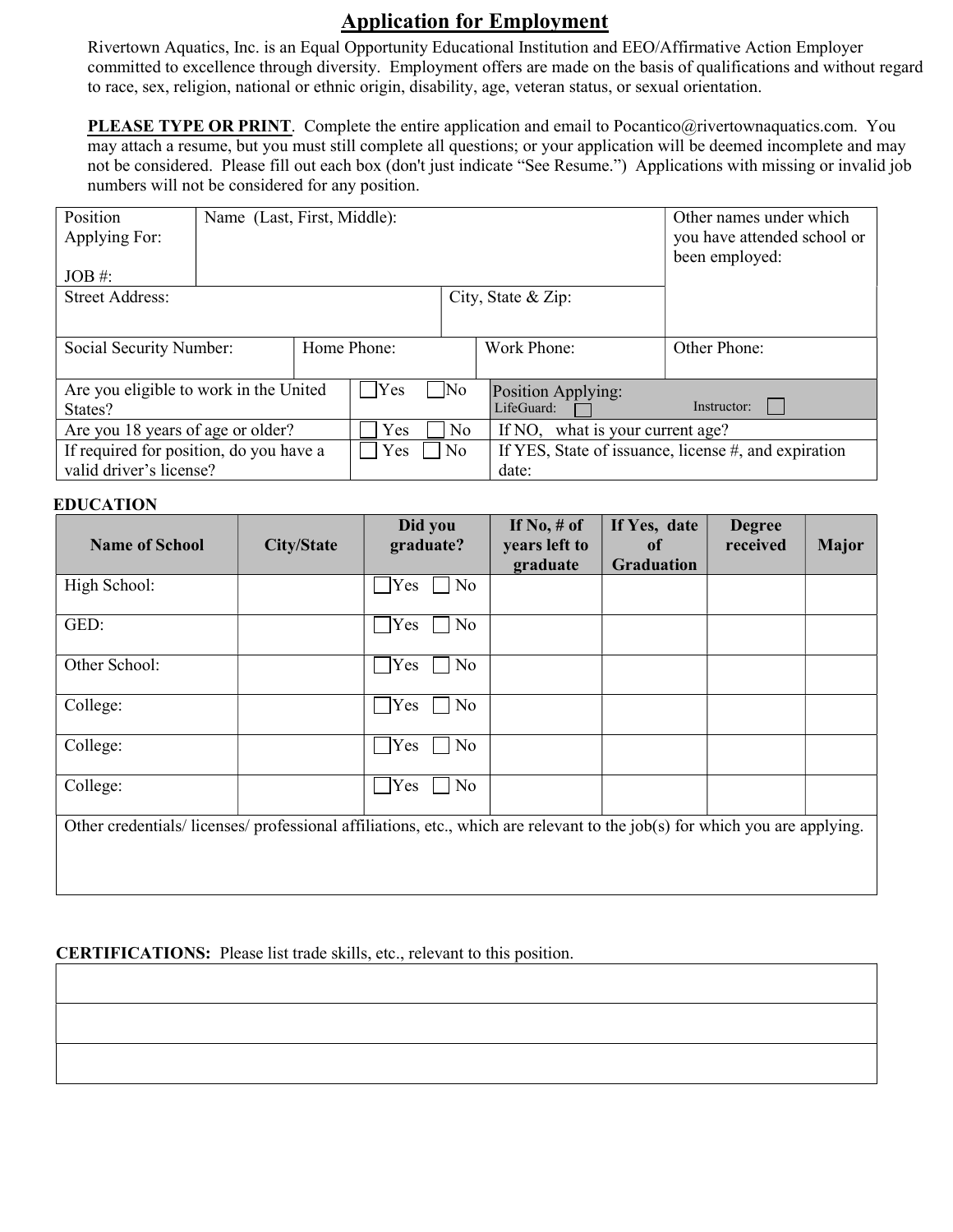## Application for Employment

Rivertown Aquatics, Inc. is an Equal Opportunity Educational Institution and EEO/Affirmative Action Employer committed to excellence through diversity. Employment offers are made on the basis of qualifications and without regard to race, sex, religion, national or ethnic origin, disability, age, veteran status, or sexual orientation.

PLEASE TYPE OR PRINT. Complete the entire application and email to Pocantico@rivertownaquatics.com. You may attach a resume, but you must still complete all questions; or your application will be deemed incomplete and may not be considered. Please fill out each box (don't just indicate "See Resume.") Applications with missing or invalid job numbers will not be considered for any position.

| Position                                | Name (Last, First, Middle): |              | Other names under which     |                                  |                                                      |  |  |
|-----------------------------------------|-----------------------------|--------------|-----------------------------|----------------------------------|------------------------------------------------------|--|--|
| Applying For:                           |                             |              | you have attended school or |                                  |                                                      |  |  |
|                                         |                             |              | been employed:              |                                  |                                                      |  |  |
| $JOB \#$ :                              |                             |              |                             |                                  |                                                      |  |  |
| <b>Street Address:</b>                  |                             |              |                             | City, State & Zip:               |                                                      |  |  |
|                                         |                             |              |                             |                                  |                                                      |  |  |
|                                         |                             |              |                             |                                  |                                                      |  |  |
| Social Security Number:                 |                             | Home Phone:  |                             | Work Phone:                      | Other Phone:                                         |  |  |
|                                         |                             |              |                             |                                  |                                                      |  |  |
| Are you eligible to work in the United  |                             | $\gamma$ Yes | $\sqrt{\text{No}}$          | Position Applying:               |                                                      |  |  |
| States?                                 |                             |              |                             | LifeGuard:                       | Instructor:                                          |  |  |
| Are you 18 years of age or older?       |                             | Yes          | N <sub>o</sub>              | If NO, what is your current age? |                                                      |  |  |
| If required for position, do you have a |                             | Yes          | N <sub>o</sub>              |                                  | If YES, State of issuance, license #, and expiration |  |  |
| valid driver's license?                 |                             |              |                             | date:                            |                                                      |  |  |

## EDUCATION

| <b>Name of School</b>                                                                                                    | <b>City/State</b> | Did you<br>graduate? | If $No, \# of$<br>years left to<br>graduate | If Yes, date<br><sub>of</sub><br><b>Graduation</b> | <b>Degree</b><br>received | <b>Major</b> |
|--------------------------------------------------------------------------------------------------------------------------|-------------------|----------------------|---------------------------------------------|----------------------------------------------------|---------------------------|--------------|
| High School:                                                                                                             |                   | Yes<br>No            |                                             |                                                    |                           |              |
| GED:                                                                                                                     |                   | No<br>$\gamma$ Yes   |                                             |                                                    |                           |              |
| Other School:                                                                                                            |                   | No<br>Yes            |                                             |                                                    |                           |              |
| College:                                                                                                                 |                   | $\gamma$ Yes<br>No   |                                             |                                                    |                           |              |
| College:                                                                                                                 |                   | Yes<br>No            |                                             |                                                    |                           |              |
| College:                                                                                                                 |                   | Yes<br>No            |                                             |                                                    |                           |              |
| Other credentials/licenses/professional affiliations, etc., which are relevant to the job(s) for which you are applying. |                   |                      |                                             |                                                    |                           |              |

## CERTIFICATIONS: Please list trade skills, etc., relevant to this position.